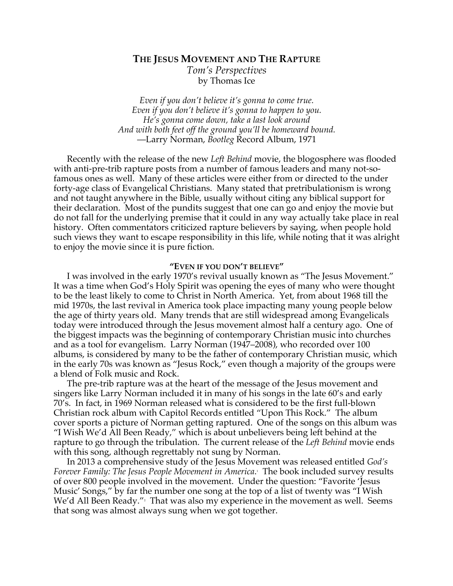# **THE JESUS MOVEMENT AND THE RAPTURE** *Tom's Perspectives* by Thomas Ice

*Even if you don't believe it's gonna to come true. Even if you don't believe it's gonna to happen to you. He's gonna come down, take a last look around And with both feet off the ground you'll be homeward bound.* —Larry Norman, *Bootleg* Record Album, 1971

Recently with the release of the new *Left Behind* movie, the blogosphere was flooded with anti-pre-trib rapture posts from a number of famous leaders and many not-sofamous ones as well. Many of these articles were either from or directed to the under forty-age class of Evangelical Christians. Many stated that pretribulationism is wrong and not taught anywhere in the Bible, usually without citing any biblical support for their declaration. Most of the pundits suggest that one can go and enjoy the movie but do not fall for the underlying premise that it could in any way actually take place in real history. Often commentators criticized rapture believers by saying, when people hold such views they want to escape responsibility in this life, while noting that it was alright to enjoy the movie since it is pure fiction.

# **"EVEN IF YOU DON'T BELIEVE"**

I was involved in the early 1970's revival usually known as "The Jesus Movement." It was a time when God's Holy Spirit was opening the eyes of many who were thought to be the least likely to come to Christ in North America. Yet, from about 1968 till the mid 1970s, the last revival in America took place impacting many young people below the age of thirty years old. Many trends that are still widespread among Evangelicals today were introduced through the Jesus movement almost half a century ago. One of the biggest impacts was the beginning of contemporary Christian music into churches and as a tool for evangelism. Larry Norman (1947–2008), who recorded over 100 albums, is considered by many to be the father of contemporary Christian music, which in the early 70s was known as "Jesus Rock," even though a majority of the groups were a blend of Folk music and Rock.

The pre-trib rapture was at the heart of the message of the Jesus movement and singers like Larry Norman included it in many of his songs in the late 60's and early 70's. In fact, in 1969 Norman released what is considered to be the first full-blown Christian rock album with Capitol Records entitled "Upon This Rock." The album cover sports a picture of Norman getting raptured. One of the songs on this album was "I Wish We'd All Been Ready," which is about unbelievers being left behind at the rapture to go through the tribulation. The current release of the *Left Behind* movie ends with this song, although regrettably not sung by Norman.

In 2013 a comprehensive study of the Jesus Movement was released entitled *God's Forever Family: The Jesus People Movement in America*. 1 The book included survey results of over 800 people involved in the movement. Under the question: "Favorite 'Jesus Music' Songs," by far the number one song at the top of a list of twenty was "I Wish We'd All Been Ready."<sup>,</sup> That was also my experience in the movement as well. Seems that song was almost always sung when we got together.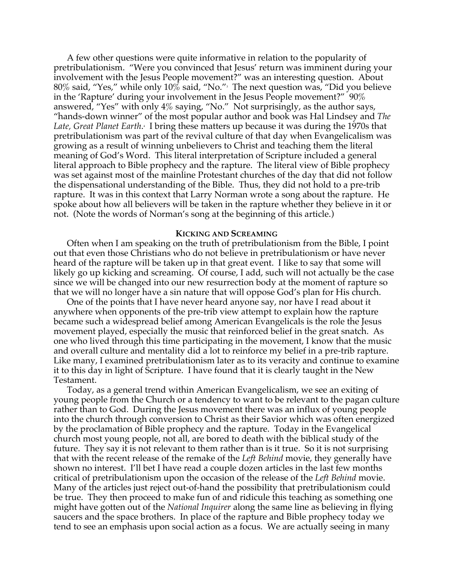A few other questions were quite informative in relation to the popularity of pretribulationism. "Were you convinced that Jesus' return was imminent during your involvement with the Jesus People movement?" was an interesting question. About  $80\%$  said, "Yes," while only  $10\%$  said, "No." $^{\circ}$  The next question was, "Did you believe in the 'Rapture' during your involvement in the Jesus People movement?" 90% answered, "Yes" with only  $4\%$  saying, "No." Not surprisingly, as the author says, "hands-down winner" of the most popular author and book was Hal Lindsey and *The*  Late, Great Planet Earth.<sup>.</sup> I bring these matters up because it was during the 1970s that pretribulationism was part of the revival culture of that day when Evangelicalism was growing as a result of winning unbelievers to Christ and teaching them the literal meaning of God's Word. This literal interpretation of Scripture included a general literal approach to Bible prophecy and the rapture. The literal view of Bible prophecy was set against most of the mainline Protestant churches of the day that did not follow the dispensational understanding of the Bible. Thus, they did not hold to a pre-trib rapture. It was in this context that Larry Norman wrote a song about the rapture. He spoke about how all believers will be taken in the rapture whether they believe in it or not. (Note the words of Norman's song at the beginning of this article.)

#### **KICKING AND SCREAMING**

Often when I am speaking on the truth of pretribulationism from the Bible, I point out that even those Christians who do not believe in pretribulationism or have never heard of the rapture will be taken up in that great event. I like to say that some will likely go up kicking and screaming. Of course, I add, such will not actually be the case since we will be changed into our new resurrection body at the moment of rapture so that we will no longer have a sin nature that will oppose God's plan for His church.

One of the points that I have never heard anyone say, nor have I read about it anywhere when opponents of the pre-trib view attempt to explain how the rapture became such a widespread belief among American Evangelicals is the role the Jesus movement played, especially the music that reinforced belief in the great snatch. As one who lived through this time participating in the movement, I know that the music and overall culture and mentality did a lot to reinforce my belief in a pre-trib rapture. Like many, I examined pretribulationism later as to its veracity and continue to examine it to this day in light of Scripture. I have found that it is clearly taught in the New Testament.

Today, as a general trend within American Evangelicalism, we see an exiting of young people from the Church or a tendency to want to be relevant to the pagan culture rather than to God. During the Jesus movement there was an influx of young people into the church through conversion to Christ as their Savior which was often energized by the proclamation of Bible prophecy and the rapture. Today in the Evangelical church most young people, not all, are bored to death with the biblical study of the future. They say it is not relevant to them rather than is it true. So it is not surprising that with the recent release of the remake of the *Left Behind* movie, they generally have shown no interest. I'll bet I have read a couple dozen articles in the last few months critical of pretribulationism upon the occasion of the release of the *Left Behind* movie. Many of the articles just reject out-of-hand the possibility that pretribulationism could be true. They then proceed to make fun of and ridicule this teaching as something one might have gotten out of the *National Inquirer* along the same line as believing in flying saucers and the space brothers. In place of the rapture and Bible prophecy today we tend to see an emphasis upon social action as a focus. We are actually seeing in many